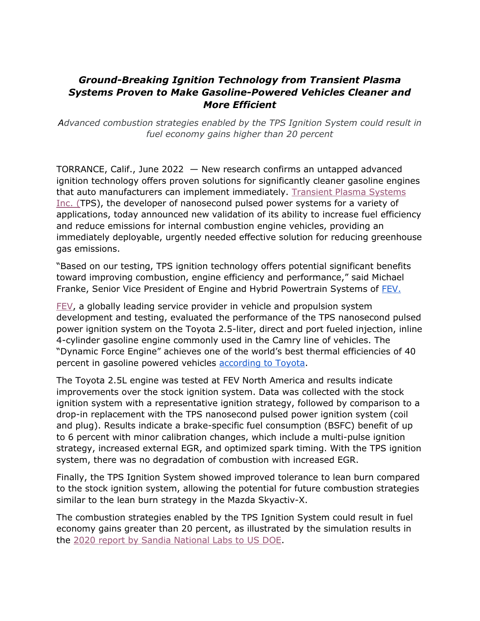## *Ground-Breaking Ignition Technology from Transient Plasma Systems Proven to Make Gasoline-Powered Vehicles Cleaner and More Efficient*

*Advanced combustion strategies enabled by the TPS Ignition System could result in fuel economy gains higher than 20 percent*

TORRANCE, Calif., June 2022 — New research confirms an untapped advanced ignition technology offers proven solutions for significantly cleaner gasoline engines that auto manufacturers can implement immediately. [Transient Plasma Systems](https://www.tpsignition.com/)  [Inc. \(T](https://www.tpsignition.com/)PS), the developer of nanosecond pulsed power systems for a variety of applications, today announced new validation of its ability to increase fuel efficiency and reduce emissions for internal combustion engine vehicles, providing an immediately deployable, urgently needed effective solution for reducing greenhouse gas emissions.

"Based on our testing, TPS ignition technology offers potential significant benefits toward improving combustion, engine efficiency and performance," said Michael Franke, Senior Vice President of Engine and Hybrid Powertrain Systems of [FEV.](https://www.fev.com/en/usa.html)

[FEV,](http://www.fev.com/) a globally leading service provider in vehicle and propulsion system development and testing, evaluated the performance of the TPS nanosecond pulsed power ignition system on the Toyota 2.5-liter, direct and port fueled injection, inline 4-cylinder gasoline engine commonly used in the Camry line of vehicles. The "Dynamic Force Engine" achieves one of the world's best thermal efficiencies of 40 percent in gasoline powered vehicles [according to Toyota.](https://global.toyota/en/powertrain/engine/)

The Toyota 2.5L engine was tested at FEV North America and results indicate improvements over the stock ignition system. Data was collected with the stock ignition system with a representative ignition strategy, followed by comparison to a drop-in replacement with the TPS nanosecond pulsed power ignition system (coil and plug). Results indicate a brake-specific fuel consumption (BSFC) benefit of up to 6 percent with minor calibration changes, which include a multi-pulse ignition strategy, increased external EGR, and optimized spark timing. With the TPS ignition system, there was no degradation of combustion with increased EGR.

Finally, the TPS Ignition System showed improved tolerance to lean burn compared to the stock ignition system, allowing the potential for future combustion strategies similar to the lean burn strategy in the Mazda Skyactiv-X.

The combustion strategies enabled by the TPS Ignition System could result in fuel economy gains greater than 20 percent, as illustrated by the simulation results in the [2020 report by Sandia National Labs to US DOE.](https://www.energy.gov/sites/default/files/2020/06/f75/ft070_sjoberg_2020_o_4.29.20_1235AM_JL.pdf)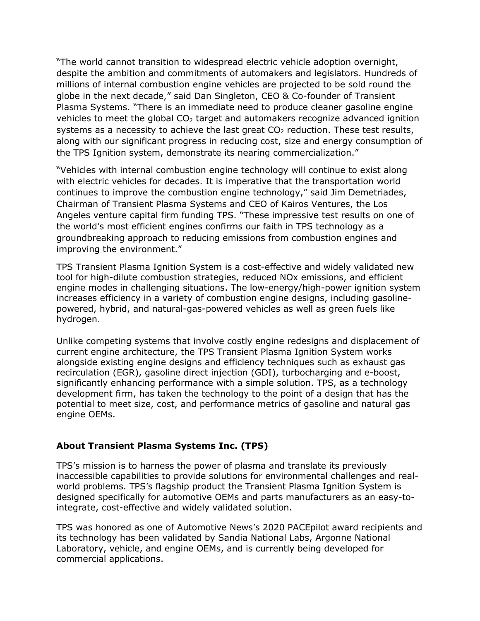"The world cannot transition to widespread electric vehicle adoption overnight, despite the ambition and commitments of automakers and legislators. Hundreds of millions of internal combustion engine vehicles are projected to be sold round the globe in the next decade," said Dan Singleton, CEO & Co-founder of Transient Plasma Systems. "There is an immediate need to produce cleaner gasoline engine vehicles to meet the global  $CO<sub>2</sub>$  target and automakers recognize advanced ignition systems as a necessity to achieve the last great  $CO<sub>2</sub>$  reduction. These test results, along with our significant progress in reducing cost, size and energy consumption of the TPS Ignition system, demonstrate its nearing commercialization."

"Vehicles with internal combustion engine technology will continue to exist along with electric vehicles for decades. It is imperative that the transportation world continues to improve the combustion engine technology," said Jim Demetriades, Chairman of Transient Plasma Systems and CEO of Kairos Ventures, the Los Angeles venture capital firm funding TPS. "These impressive test results on one of the world's most efficient engines confirms our faith in TPS technology as a groundbreaking approach to reducing emissions from combustion engines and improving the environment."

TPS Transient Plasma Ignition System is a cost-effective and widely validated new tool for high-dilute combustion strategies, reduced NOx emissions, and efficient engine modes in challenging situations. The low-energy/high-power ignition system increases efficiency in a variety of combustion engine designs, including gasolinepowered, hybrid, and natural-gas-powered vehicles as well as green fuels like hydrogen.

Unlike competing systems that involve costly engine redesigns and displacement of current engine architecture, the TPS Transient Plasma Ignition System works alongside existing engine designs and efficiency techniques such as exhaust gas recirculation (EGR), gasoline direct injection (GDI), turbocharging and e-boost, significantly enhancing performance with a simple solution. TPS, as a technology development firm, has taken the technology to the point of a design that has the potential to meet size, cost, and performance metrics of gasoline and natural gas engine OEMs.

## **About Transient Plasma Systems Inc. (TPS)**

TPS's mission is to harness the power of plasma and translate its previously inaccessible capabilities to provide solutions for environmental challenges and realworld problems. TPS's flagship product the Transient Plasma Ignition System is designed specifically for automotive OEMs and parts manufacturers as an easy-tointegrate, cost-effective and widely validated solution.

TPS was honored as one of Automotive News's 2020 PACEpilot award recipients and its technology has been validated by Sandia National Labs, Argonne National Laboratory, vehicle, and engine OEMs, and is currently being developed for commercial applications.